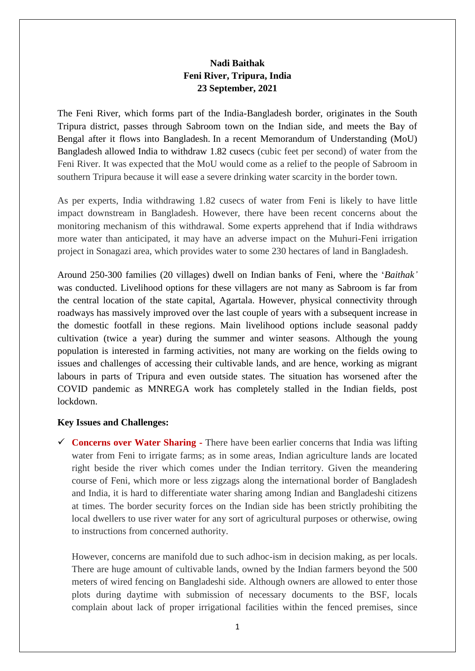## **Nadi Baithak Feni River, Tripura, India 23 September, 2021**

The Feni River, which forms part of the India-Bangladesh border, originates in the South Tripura district, passes through Sabroom town on the Indian side, and meets the Bay of Bengal after it flows into Bangladesh. In a recent Memorandum of Understanding (MoU) Bangladesh allowed India to withdraw 1.82 cusecs (cubic feet per second) of water from the Feni River. It was expected that the MoU would come as a relief to the people of Sabroom in southern Tripura because it will ease a severe drinking water scarcity in the border town.

As per experts, India withdrawing 1.82 cusecs of water from Feni is likely to have little impact downstream in Bangladesh. However, there have been recent concerns about the monitoring mechanism of this withdrawal. Some experts apprehend that if India withdraws more water than anticipated, it may have an adverse impact on the Muhuri-Feni irrigation project in Sonagazi area, which provides water to some 230 hectares of land in Bangladesh.

Around 250-300 families (20 villages) dwell on Indian banks of Feni, where the '*Baithak'* was conducted. Livelihood options for these villagers are not many as Sabroom is far from the central location of the state capital, Agartala. However, physical connectivity through roadways has massively improved over the last couple of years with a subsequent increase in the domestic footfall in these regions. Main livelihood options include seasonal paddy cultivation (twice a year) during the summer and winter seasons. Although the young population is interested in farming activities, not many are working on the fields owing to issues and challenges of accessing their cultivable lands, and are hence, working as migrant labours in parts of Tripura and even outside states. The situation has worsened after the COVID pandemic as MNREGA work has completely stalled in the Indian fields, post lockdown.

## **Key Issues and Challenges:**

 **Concerns over Water Sharing -** There have been earlier concerns that India was lifting water from Feni to irrigate farms; as in some areas, Indian agriculture lands are located right beside the river which comes under the Indian territory. Given the meandering course of Feni, which more or less zigzags along the international border of Bangladesh and India, it is hard to differentiate water sharing among Indian and Bangladeshi citizens at times. The border security forces on the Indian side has been strictly prohibiting the local dwellers to use river water for any sort of agricultural purposes or otherwise, owing to instructions from concerned authority.

However, concerns are manifold due to such adhoc-ism in decision making, as per locals. There are huge amount of cultivable lands, owned by the Indian farmers beyond the 500 meters of wired fencing on Bangladeshi side. Although owners are allowed to enter those plots during daytime with submission of necessary documents to the BSF, locals complain about lack of proper irrigational facilities within the fenced premises, since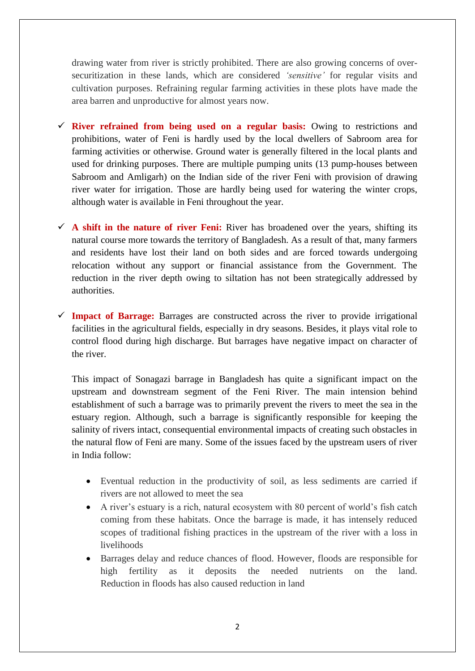drawing water from river is strictly prohibited. There are also growing concerns of oversecuritization in these lands, which are considered *'sensitive'* for regular visits and cultivation purposes. Refraining regular farming activities in these plots have made the area barren and unproductive for almost years now.

- **River refrained from being used on a regular basis:** Owing to restrictions and prohibitions, water of Feni is hardly used by the local dwellers of Sabroom area for farming activities or otherwise. Ground water is generally filtered in the local plants and used for drinking purposes. There are multiple pumping units (13 pump-houses between Sabroom and Amligarh) on the Indian side of the river Feni with provision of drawing river water for irrigation. Those are hardly being used for watering the winter crops, although water is available in Feni throughout the year.
- $\checkmark$  A shift in the nature of river Feni: River has broadened over the years, shifting its natural course more towards the territory of Bangladesh. As a result of that, many farmers and residents have lost their land on both sides and are forced towards undergoing relocation without any support or financial assistance from the Government. The reduction in the river depth owing to siltation has not been strategically addressed by authorities.
- **Impact of Barrage:** Barrages are constructed across the river to provide irrigational facilities in the agricultural fields, especially in dry seasons. Besides, it plays vital role to control flood during high discharge. But barrages have negative impact on character of the river.

This impact of Sonagazi barrage in Bangladesh has quite a significant impact on the upstream and downstream segment of the Feni River. The main intension behind establishment of such a barrage was to primarily prevent the rivers to meet the sea in the estuary region. Although, such a barrage is significantly responsible for keeping the salinity of rivers intact, consequential environmental impacts of creating such obstacles in the natural flow of Feni are many. Some of the issues faced by the upstream users of river in India follow:

- Eventual reduction in the productivity of soil, as less sediments are carried if rivers are not allowed to meet the sea
- A river's estuary is a rich, natural ecosystem with 80 percent of world's fish catch coming from these habitats. Once the barrage is made, it has intensely reduced scopes of traditional fishing practices in the upstream of the river with a loss in livelihoods
- Barrages delay and reduce chances of flood. However, floods are responsible for high fertility as it deposits the needed nutrients on the land. Reduction in floods has also caused reduction in land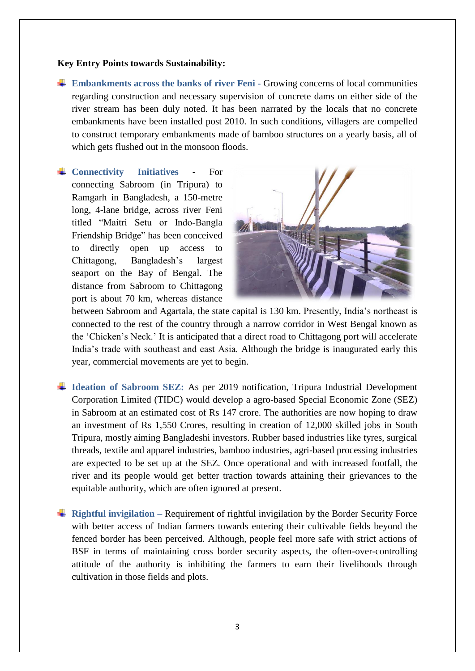## **Key Entry Points towards Sustainability:**

- **Embankments across the banks of river Feni -** Growing concerns of local communities regarding construction and necessary supervision of concrete dams on either side of the river stream has been duly noted. It has been narrated by the locals that no concrete embankments have been installed post 2010. In such conditions, villagers are compelled to construct temporary embankments made of bamboo structures on a yearly basis, all of which gets flushed out in the monsoon floods.
- **Connectivity Initiatives -** For connecting Sabroom (in Tripura) to Ramgarh in Bangladesh, a 150-metre long, 4-lane bridge, across river Feni titled "Maitri Setu or Indo-Bangla Friendship Bridge" has been conceived to directly open up access to Chittagong, Bangladesh's largest seaport on the Bay of Bengal. The distance from Sabroom to Chittagong port is about 70 km, whereas distance



between Sabroom and Agartala, the state capital is 130 km. Presently, India's northeast is connected to the rest of the country through a narrow corridor in West Bengal known as the 'Chicken's Neck.' It is anticipated that a direct road to Chittagong port will accelerate India's trade with southeast and east Asia. Although the bridge is inaugurated early this year, commercial movements are yet to begin.

- **Ideation of Sabroom SEZ:** As per 2019 notification, Tripura Industrial Development Corporation Limited (TIDC) would develop a agro-based Special Economic Zone (SEZ) in Sabroom at an estimated cost of Rs 147 crore. The authorities are now hoping to draw an investment of Rs 1,550 Crores, resulting in creation of 12,000 skilled jobs in South Tripura, mostly aiming Bangladeshi investors. Rubber based industries like tyres, surgical threads, textile and apparel industries, bamboo industries, agri-based processing industries are expected to be set up at the SEZ. Once operational and with increased footfall, the river and its people would get better traction towards attaining their grievances to the equitable authority, which are often ignored at present.
- **Rightful invigilation** Requirement of rightful invigilation by the Border Security Force with better access of Indian farmers towards entering their cultivable fields beyond the fenced border has been perceived. Although, people feel more safe with strict actions of BSF in terms of maintaining cross border security aspects, the often-over-controlling attitude of the authority is inhibiting the farmers to earn their livelihoods through cultivation in those fields and plots.